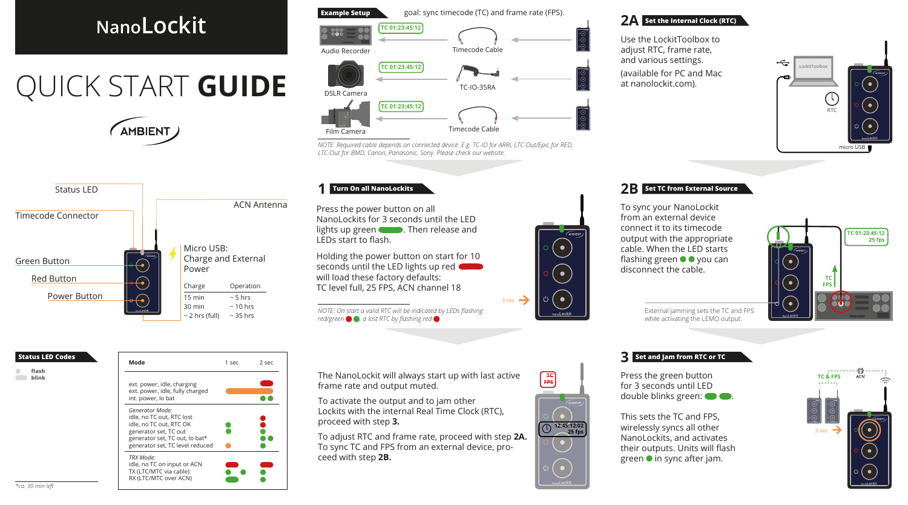# **NanoLockit**

# QUICK START **GUIDE**





# **Example Setup** goal: sync timecode (TC) and frame rate (FPS). TC IN **TC 01:23:45:12**  Timecode Cable TC-IO-35RA DSLR Camera Audio Recorder NANOLOCKIT **TC 01:23:45:12 TC 01:23:45:12**

Timecode Cable

*NOTE: Required cable depends on connected device. E.g. TC-IO for ARRI, LTC-Out/Epic for RED, LTC-Out for BMD, Canon, Panasonic, Sony. Please check our website.*

#### **Turn On all NanoLockits 1**

Film Camera

Press the power button on all NanoLockits for 3 seconds until the LED lights up green **. Then release and** LEDs start to flash.

Holding the power button on start for 10 seconds until the LED lights up red will load these factory defaults: TC level full, 25 FPS, ACN channel 18

*NOTE: On start a valid RTC will be indicated by LEDs lashing red/green , a lost RTC by lashing red .*

### **2A Set the Internal Clock (RTC)**

Use the LockitToolbox to adjust RTC, frame rate, and various settings.

(available for PC and Mac at nanolockit.com).



#### **2B Set TC from External Source**

To sync your NanoLockit from an external device connect it to its timecode output with the appropriate cable. When the LED starts flashing green  $\bullet \bullet$  you can disconnect the cable.



External jamming sets the TC and FPS while activating the LEMO output.

#### **Status LED Codes**

- **lash**
- **blink**



The NanoLockit will always start up with last active frame rate and output muted.

To activate the output and to jam other Lockits with the internal Real Time Clock (RTC), proceed with step **3.**

To adjust RTC and frame rate, proceed with step **2A.** To sync TC and FPS from an external device, proceed with step **2B.**



 $\bullet$ 

 $\bullet$ 

Ò. O.

 $3 \sec \rightarrow$ 

#### **3 Set and Jam from RTC or TC**

Press the green button for 3 seconds until LED double blinks green:  $\bullet$ .

This sets the TC and FPS, wirelessly syncs all other NanoLockits, and activates their outputs. Units will flash green  $\bullet$  in sync after jam.